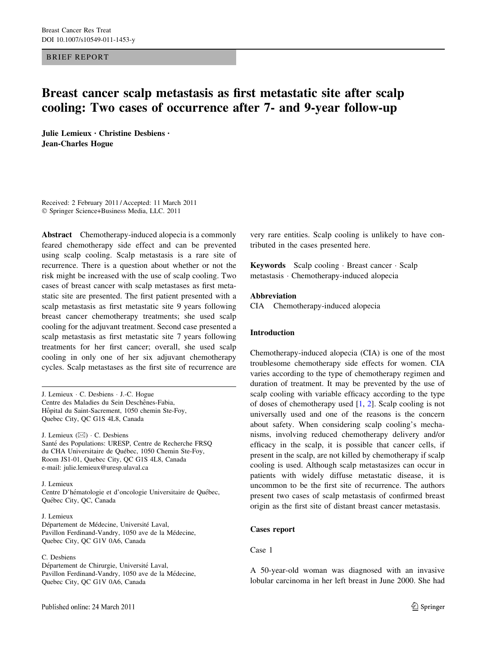BRIEF REPORT

# Breast cancer scalp metastasis as first metastatic site after scalp cooling: Two cases of occurrence after 7- and 9-year follow-up

Julie Lemieux • Christine Desbiens • Jean-Charles Hogue

Received: 2 February 2011 / Accepted: 11 March 2011 - Springer Science+Business Media, LLC. 2011

Abstract Chemotherapy-induced alopecia is a commonly feared chemotherapy side effect and can be prevented using scalp cooling. Scalp metastasis is a rare site of recurrence. There is a question about whether or not the risk might be increased with the use of scalp cooling. Two cases of breast cancer with scalp metastases as first metastatic site are presented. The first patient presented with a scalp metastasis as first metastatic site 9 years following breast cancer chemotherapy treatments; she used scalp cooling for the adjuvant treatment. Second case presented a scalp metastasis as first metastatic site 7 years following treatments for her first cancer; overall, she used scalp cooling in only one of her six adjuvant chemotherapy cycles. Scalp metastases as the first site of recurrence are

J. Lemieux - C. Desbiens - J.-C. Hogue Centre des Maladies du Sein Deschênes-Fabia, Hôpital du Saint-Sacrement, 1050 chemin Ste-Foy, Quebec City, QC G1S 4L8, Canada

J. Lemieux  $(\boxtimes) \cdot C$ . Desbiens Santé des Populations: URESP, Centre de Recherche FRSQ du CHA Universitaire de Québec, 1050 Chemin Ste-Foy, Room JS1-01, Quebec City, QC G1S 4L8, Canada e-mail: julie.lemieux@uresp.ulaval.ca

#### J. Lemieux

Centre D'hématologie et d'oncologie Universitaire de Québec, Québec City, QC, Canada

#### J. Lemieux

Département de Médecine, Université Laval, Pavillon Ferdinand-Vandry, 1050 ave de la Médecine, Quebec City, QC G1V 0A6, Canada

## C. Desbiens

Département de Chirurgie, Université Laval, Pavillon Ferdinand-Vandry, 1050 ave de la Médecine, Quebec City, QC G1V 0A6, Canada

very rare entities. Scalp cooling is unlikely to have contributed in the cases presented here.

Keywords Scalp cooling - Breast cancer - Scalp metastasis - Chemotherapy-induced alopecia

## Abbreviation

CIA Chemotherapy-induced alopecia

#### Introduction

Chemotherapy-induced alopecia (CIA) is one of the most troublesome chemotherapy side effects for women. CIA varies according to the type of chemotherapy regimen and duration of treatment. It may be prevented by the use of scalp cooling with variable efficacy according to the type of doses of chemotherapy used [[1,](#page-2-0) [2](#page-2-0)]. Scalp cooling is not universally used and one of the reasons is the concern about safety. When considering scalp cooling's mechanisms, involving reduced chemotherapy delivery and/or efficacy in the scalp, it is possible that cancer cells, if present in the scalp, are not killed by chemotherapy if scalp cooling is used. Although scalp metastasizes can occur in patients with widely diffuse metastatic disease, it is uncommon to be the first site of recurrence. The authors present two cases of scalp metastasis of confirmed breast origin as the first site of distant breast cancer metastasis.

# Cases report

# Case 1

A 50-year-old woman was diagnosed with an invasive lobular carcinoma in her left breast in June 2000. She had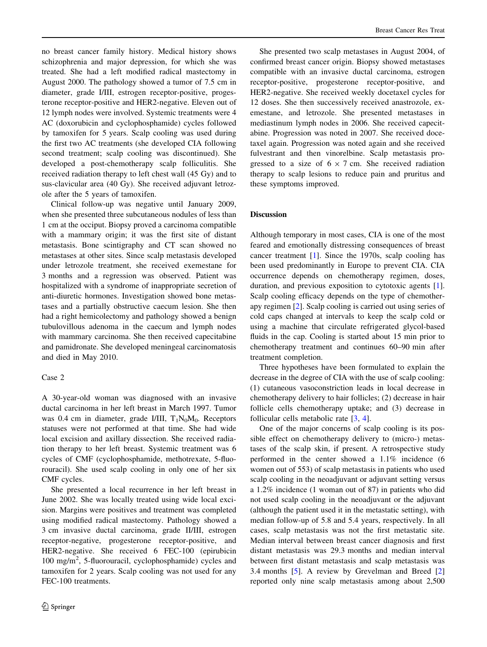no breast cancer family history. Medical history shows schizophrenia and major depression, for which she was treated. She had a left modified radical mastectomy in August 2000. The pathology showed a tumor of 7.5 cm in diameter, grade I/III, estrogen receptor-positive, progesterone receptor-positive and HER2-negative. Eleven out of 12 lymph nodes were involved. Systemic treatments were 4 AC (doxorubicin and cyclophosphamide) cycles followed by tamoxifen for 5 years. Scalp cooling was used during the first two AC treatments (she developed CIA following second treatment; scalp cooling was discontinued). She developed a post-chemotherapy scalp folliculitis. She received radiation therapy to left chest wall (45 Gy) and to sus-clavicular area (40 Gy). She received adjuvant letrozole after the 5 years of tamoxifen.

Clinical follow-up was negative until January 2009, when she presented three subcutaneous nodules of less than 1 cm at the occiput. Biopsy proved a carcinoma compatible with a mammary origin; it was the first site of distant metastasis. Bone scintigraphy and CT scan showed no metastases at other sites. Since scalp metastasis developed under letrozole treatment, she received exemestane for 3 months and a regression was observed. Patient was hospitalized with a syndrome of inappropriate secretion of anti-diuretic hormones. Investigation showed bone metastases and a partially obstructive caecum lesion. She then had a right hemicolectomy and pathology showed a benign tubulovillous adenoma in the caecum and lymph nodes with mammary carcinoma. She then received capecitabine and pamidronate. She developed meningeal carcinomatosis and died in May 2010.

#### Case 2

A 30-year-old woman was diagnosed with an invasive ductal carcinoma in her left breast in March 1997. Tumor was 0.4 cm in diameter, grade I/III,  $T_1N_0M_0$ . Receptors statuses were not performed at that time. She had wide local excision and axillary dissection. She received radiation therapy to her left breast. Systemic treatment was 6 cycles of CMF (cyclophosphamide, methotrexate, 5-fluorouracil). She used scalp cooling in only one of her six CMF cycles.

She presented a local recurrence in her left breast in June 2002. She was locally treated using wide local excision. Margins were positives and treatment was completed using modified radical mastectomy. Pathology showed a 3 cm invasive ductal carcinoma, grade II/III, estrogen receptor-negative, progesterone receptor-positive, and HER2-negative. She received 6 FEC-100 (epirubicin 100 mg/m<sup>2</sup> , 5-fluorouracil, cyclophosphamide) cycles and tamoxifen for 2 years. Scalp cooling was not used for any FEC-100 treatments.

She presented two scalp metastases in August 2004, of confirmed breast cancer origin. Biopsy showed metastases compatible with an invasive ductal carcinoma, estrogen receptor-positive, progesterone receptor-positive, and HER2-negative. She received weekly docetaxel cycles for 12 doses. She then successively received anastrozole, exemestane, and letrozole. She presented metastases in mediastinum lymph nodes in 2006. She received capecitabine. Progression was noted in 2007. She received docetaxel again. Progression was noted again and she received fulvestrant and then vinorelbine. Scalp metastasis progressed to a size of  $6 \times 7$  cm. She received radiation therapy to scalp lesions to reduce pain and pruritus and these symptoms improved.

# Discussion

Although temporary in most cases, CIA is one of the most feared and emotionally distressing consequences of breast cancer treatment [\[1](#page-2-0)]. Since the 1970s, scalp cooling has been used predominantly in Europe to prevent CIA. CIA occurrence depends on chemotherapy regimen, doses, duration, and previous exposition to cytotoxic agents [\[1](#page-2-0)]. Scalp cooling efficacy depends on the type of chemotherapy regimen [[2\]](#page-2-0). Scalp cooling is carried out using series of cold caps changed at intervals to keep the scalp cold or using a machine that circulate refrigerated glycol-based fluids in the cap. Cooling is started about 15 min prior to chemotherapy treatment and continues 60–90 min after treatment completion.

Three hypotheses have been formulated to explain the decrease in the degree of CIA with the use of scalp cooling: (1) cutaneous vasoconstriction leads in local decrease in chemotherapy delivery to hair follicles; (2) decrease in hair follicle cells chemotherapy uptake; and (3) decrease in follicular cells metabolic rate [[3,](#page-2-0) [4](#page-2-0)].

One of the major concerns of scalp cooling is its possible effect on chemotherapy delivery to (micro-) metastases of the scalp skin, if present. A retrospective study performed in the center showed a 1.1% incidence (6 women out of 553) of scalp metastasis in patients who used scalp cooling in the neoadjuvant or adjuvant setting versus a 1.2% incidence (1 woman out of 87) in patients who did not used scalp cooling in the neoadjuvant or the adjuvant (although the patient used it in the metastatic setting), with median follow-up of 5.8 and 5.4 years, respectively. In all cases, scalp metastasis was not the first metastatic site. Median interval between breast cancer diagnosis and first distant metastasis was 29.3 months and median interval between first distant metastasis and scalp metastasis was 3.4 months [[5\]](#page-2-0). A review by Grevelman and Breed [[2\]](#page-2-0) reported only nine scalp metastasis among about 2,500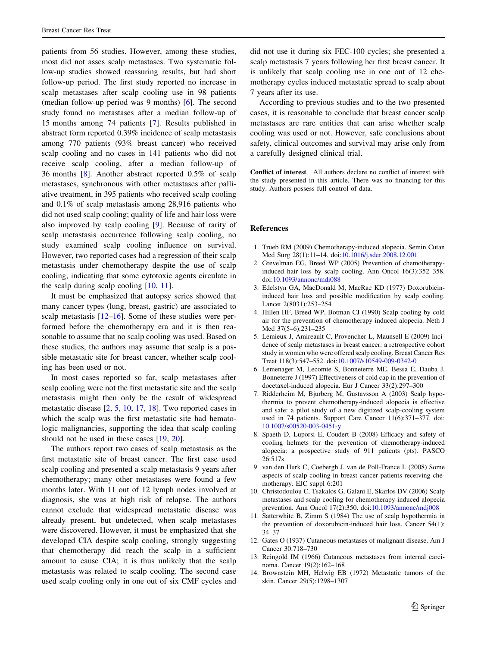<span id="page-2-0"></span>patients from 56 studies. However, among these studies, most did not asses scalp metastases. Two systematic follow-up studies showed reassuring results, but had short follow-up period. The first study reported no increase in scalp metastases after scalp cooling use in 98 patients (median follow-up period was 9 months) [6]. The second study found no metastases after a median follow-up of 15 months among 74 patients [7]. Results published in abstract form reported 0.39% incidence of scalp metastasis among 770 patients (93% breast cancer) who received scalp cooling and no cases in 141 patients who did not receive scalp cooling, after a median follow-up of 36 months [8]. Another abstract reported 0.5% of scalp metastases, synchronous with other metastases after palliative treatment, in 395 patients who received scalp cooling and 0.1% of scalp metastasis among 28,916 patients who did not used scalp cooling; quality of life and hair loss were also improved by scalp cooling [9]. Because of rarity of scalp metastasis occurrence following scalp cooling, no study examined scalp cooling influence on survival. However, two reported cases had a regression of their scalp metastasis under chemotherapy despite the use of scalp cooling, indicating that some cytotoxic agents circulate in the scalp during scalp cooling [10, 11].

It must be emphasized that autopsy series showed that many cancer types (lung, breast, gastric) are associated to scalp metastasis  $[12-16]$  $[12-16]$ . Some of these studies were performed before the chemotherapy era and it is then reasonable to assume that no scalp cooling was used. Based on these studies, the authors may assume that scalp is a possible metastatic site for breast cancer, whether scalp cooling has been used or not.

In most cases reported so far, scalp metastases after scalp cooling were not the first metastatic site and the scalp metastasis might then only be the result of widespread metastatic disease [2, 5, 10, [17,](#page-3-0) [18](#page-3-0)]. Two reported cases in which the scalp was the first metastatic site had hematologic malignancies, supporting the idea that scalp cooling should not be used in these cases [\[19](#page-3-0), [20](#page-3-0)].

The authors report two cases of scalp metastasis as the first metastatic site of breast cancer. The first case used scalp cooling and presented a scalp metastasis 9 years after chemotherapy; many other metastases were found a few months later. With 11 out of 12 lymph nodes involved at diagnosis, she was at high risk of relapse. The authors cannot exclude that widespread metastatic disease was already present, but undetected, when scalp metastases were discovered. However, it must be emphasized that she developed CIA despite scalp cooling, strongly suggesting that chemotherapy did reach the scalp in a sufficient amount to cause CIA; it is thus unlikely that the scalp metastasis was related to scalp cooling. The second case used scalp cooling only in one out of six CMF cycles and did not use it during six FEC-100 cycles; she presented a scalp metastasis 7 years following her first breast cancer. It is unlikely that scalp cooling use in one out of 12 chemotherapy cycles induced metastatic spread to scalp about 7 years after its use.

According to previous studies and to the two presented cases, it is reasonable to conclude that breast cancer scalp metastases are rare entities that can arise whether scalp cooling was used or not. However, safe conclusions about safety, clinical outcomes and survival may arise only from a carefully designed clinical trial.

Conflict of interest All authors declare no conflict of interest with the study presented in this article. There was no financing for this study. Authors possess full control of data.

#### References

- 1. Trueb RM (2009) Chemotherapy-induced alopecia. Semin Cutan Med Surg 28(1):11–14. doi:[10.1016/j.sder.2008.12.001](http://dx.doi.org/10.1016/j.sder.2008.12.001)
- 2. Grevelman EG, Breed WP (2005) Prevention of chemotherapyinduced hair loss by scalp cooling. Ann Oncol 16(3):352–358. doi:[10.1093/annonc/mdi088](http://dx.doi.org/10.1093/annonc/mdi088)
- 3. Edelstyn GA, MacDonald M, MacRae KD (1977) Doxorubicininduced hair loss and possible modification by scalp cooling. Lancet 2(8031):253–254
- 4. Hillen HF, Breed WP, Botman CJ (1990) Scalp cooling by cold air for the prevention of chemotherapy-induced alopecia. Neth J Med 37(5–6):231–235
- 5. Lemieux J, Amireault C, Provencher L, Maunsell E (2009) Incidence of scalp metastases in breast cancer: a retrospective cohort study in women who were offered scalp cooling. Breast Cancer Res Treat 118(3):547–552. doi:[10.1007/s10549-009-0342-0](http://dx.doi.org/10.1007/s10549-009-0342-0)
- 6. Lemenager M, Lecomte S, Bonneterre ME, Bessa E, Dauba J, Bonneterre J (1997) Effectiveness of cold cap in the prevention of docetaxel-induced alopecia. Eur J Cancer 33(2):297–300
- 7. Ridderheim M, Bjurberg M, Gustavsson A (2003) Scalp hypothermia to prevent chemotherapy-induced alopecia is effective and safe: a pilot study of a new digitized scalp-cooling system used in 74 patients. Support Care Cancer 11(6):371–377. doi: [10.1007/s00520-003-0451-y](http://dx.doi.org/10.1007/s00520-003-0451-y)
- 8. Spaeth D, Luporsi E, Coudert B (2008) Efficacy and safety of cooling helmets for the prevention of chemotherapy-induced alopecia: a prospective study of 911 patients (pts). PASCO 26:517s
- 9. van den Hurk C, Coebergh J, van de Poll-France L (2008) Some aspects of scalp cooling in breast cancer patients receiving chemotherapy. EJC suppl 6:201
- 10. Christodoulou C, Tsakalos G, Galani E, Skarlos DV (2006) Scalp metastases and scalp cooling for chemotherapy-induced alopecia prevention. Ann Oncol 17(2):350. doi:[10.1093/annonc/mdj008](http://dx.doi.org/10.1093/annonc/mdj008)
- 11. Satterwhite B, Zimm S (1984) The use of scalp hypothermia in the prevention of doxorubicin-induced hair loss. Cancer 54(1): 34–37
- 12. Gates O (1937) Cutaneous metastases of malignant disease. Am J Cancer 30:718–730
- 13. Reingold IM (1966) Cutaneous metastases from internal carcinoma. Cancer 19(2):162–168
- 14. Brownstein MH, Helwig EB (1972) Metastatic tumors of the skin. Cancer 29(5):1298–1307